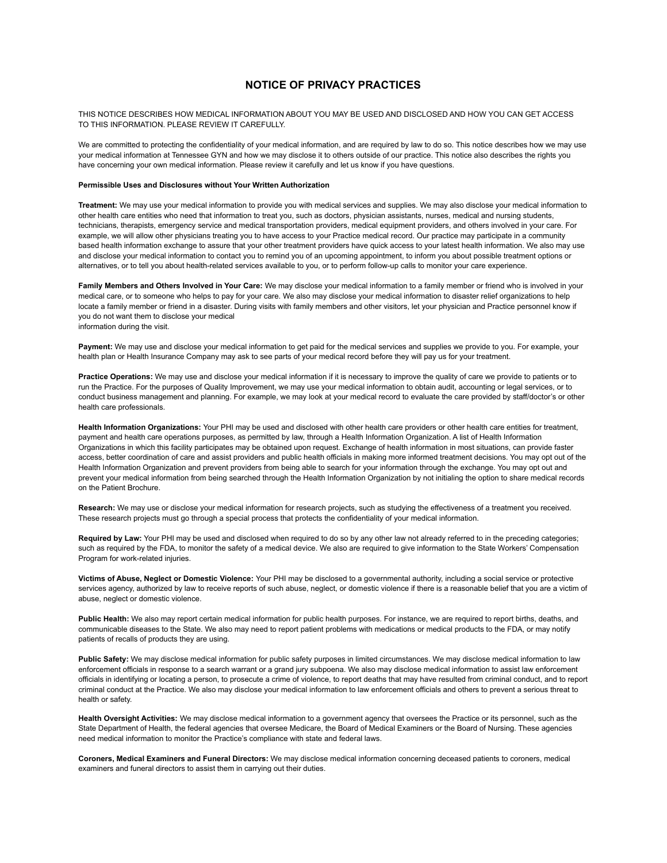## **NOTICE OF PRIVACY PRACTICES**

THIS NOTICE DESCRIBES HOW MEDICAL INFORMATION ABOUT YOU MAY BE USED AND DISCLOSED AND HOW YOU CAN GET ACCESS TO THIS INFORMATION. PLEASE REVIEW IT CAREFULLY.

We are committed to protecting the confidentiality of your medical information, and are required by law to do so. This notice describes how we may use your medical information at Tennessee GYN and how we may disclose it to others outside of our practice. This notice also describes the rights you have concerning your own medical information. Please review it carefully and let us know if you have questions.

## **Permissible Uses and Disclosures without Your Written Authorization**

**Treatment:** We may use your medical information to provide you with medical services and supplies. We may also disclose your medical information to other health care entities who need that information to treat you, such as doctors, physician assistants, nurses, medical and nursing students, technicians, therapists, emergency service and medical transportation providers, medical equipment providers, and others involved in your care. For example, we will allow other physicians treating you to have access to your Practice medical record. Our practice may participate in a community based health information exchange to assure that your other treatment providers have quick access to your latest health information. We also may use and disclose your medical information to contact you to remind you of an upcoming appointment, to inform you about possible treatment options or alternatives, or to tell you about health-related services available to you, or to perform follow-up calls to monitor your care experience.

**Family Members and Others Involved in Your Care:** We may disclose your medical information to a family member or friend who is involved in your medical care, or to someone who helps to pay for your care. We also may disclose your medical information to disaster relief organizations to help locate a family member or friend in a disaster. During visits with family members and other visitors, let your physician and Practice personnel know if you do not want them to disclose your medical

information during the visit.

**Payment:** We may use and disclose your medical information to get paid for the medical services and supplies we provide to you. For example, your health plan or Health Insurance Company may ask to see parts of your medical record before they will pay us for your treatment.

**Practice Operations:** We may use and disclose your medical information if it is necessary to improve the quality of care we provide to patients or to run the Practice. For the purposes of Quality Improvement, we may use your medical information to obtain audit, accounting or legal services, or to conduct business management and planning. For example, we may look at your medical record to evaluate the care provided by staff/doctor's or other health care professionals.

**Health Information Organizations:** Your PHI may be used and disclosed with other health care providers or other health care entities for treatment, payment and health care operations purposes, as permitted by law, through a Health Information Organization. A list of Health Information Organizations in which this facility participates may be obtained upon request. Exchange of health information in most situations, can provide faster access, better coordination of care and assist providers and public health officials in making more informed treatment decisions. You may opt out of the Health Information Organization and prevent providers from being able to search for your information through the exchange. You may opt out and prevent your medical information from being searched through the Health Information Organization by not initialing the option to share medical records on the Patient Brochure.

**Research:** We may use or disclose your medical information for research projects, such as studying the effectiveness of a treatment you received. These research projects must go through a special process that protects the confidentiality of your medical information.

**Required by Law:** Your PHI may be used and disclosed when required to do so by any other law not already referred to in the preceding categories; such as required by the FDA, to monitor the safety of a medical device. We also are required to give information to the State Workers' Compensation Program for work-related injuries.

**Victims of Abuse, Neglect or Domestic Violence:** Your PHI may be disclosed to a governmental authority, including a social service or protective services agency, authorized by law to receive reports of such abuse, neglect, or domestic violence if there is a reasonable belief that you are a victim of abuse, neglect or domestic violence.

**Public Health:** We also may report certain medical information for public health purposes. For instance, we are required to report births, deaths, and communicable diseases to the State. We also may need to report patient problems with medications or medical products to the FDA, or may notify patients of recalls of products they are using.

**Public Safety:** We may disclose medical information for public safety purposes in limited circumstances. We may disclose medical information to law enforcement officials in response to a search warrant or a grand jury subpoena. We also may disclose medical information to assist law enforcement officials in identifying or locating a person, to prosecute a crime of violence, to report deaths that may have resulted from criminal conduct, and to report criminal conduct at the Practice. We also may disclose your medical information to law enforcement officials and others to prevent a serious threat to health or safety.

**Health Oversight Activities:** We may disclose medical information to a government agency that oversees the Practice or its personnel, such as the State Department of Health, the federal agencies that oversee Medicare, the Board of Medical Examiners or the Board of Nursing. These agencies need medical information to monitor the Practice's compliance with state and federal laws.

**Coroners, Medical Examiners and Funeral Directors:** We may disclose medical information concerning deceased patients to coroners, medical examiners and funeral directors to assist them in carrying out their duties.